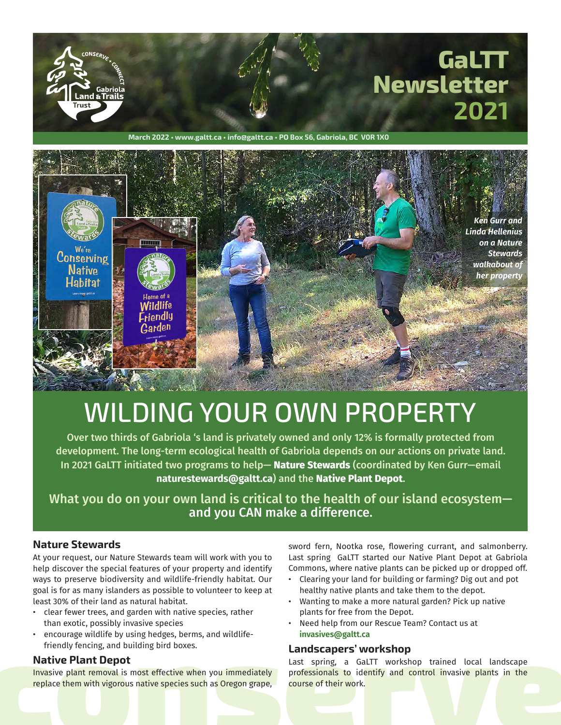

**March 2022 • www.galtt.ca • info@galtt.ca • PO Box 56, Gabriola, BC V0R 1X0**



# WILDING YOUR OWN PROPERTY

Over two thirds of Gabriola 's land is privately owned and only 12% is formally protected from development. The long-term ecological health of Gabriola depends on our actions on private land. In 2021 GaLTT initiated two programs to help— **Nature Stewards** (coordinated by Ken Gurr—email **naturestewards@galtt.ca**) and the **Native Plant Depot**.

What you do on your own land is critical to the health of our island ecosystem and you CAN make a difference.

#### **Nature Stewards**

At your request, our Nature Stewards team will work with you to help discover the special features of your property and identify ways to preserve biodiversity and wildlife-friendly habitat. Our goal is for as many islanders as possible to volunteer to keep at least 30% of their land as natural habitat.

- clear fewer trees, and garden with native species, rather than exotic, possibly invasive species
- encourage wildlife by using hedges, berms, and wildlifefriendly fencing, and building bird boxes.

#### **Native Plant Depot**

Invasive plant removal is most effective when you immediately replace them with vigorous native species such as Oregon grape, sword fern, Nootka rose, flowering currant, and salmonberry. Last spring GaLTT started our Native Plant Depot at Gabriola Commons, where native plants can be picked up or dropped off.

- Clearing your land for building or farming? Dig out and pot healthy native plants and take them to the depot.
- Wanting to make a more natural garden? Pick up native plants for free from the Depot.
- Need help from our Rescue Team? Contact us at **invasives@galtt.ca**

#### **Landscapers' workshop**

• encourage wildlife by using hedges, berms, and wildlife-<br> **conserved** friendly fencing, and building bird boxes.<br> **conserved** the propert and the spring and a Gall TT workshop trained local landscape<br> **conserved** in the Last spring, a GaLTT workshop trained local landscape professionals to identify and control invasive plants in the course of their work.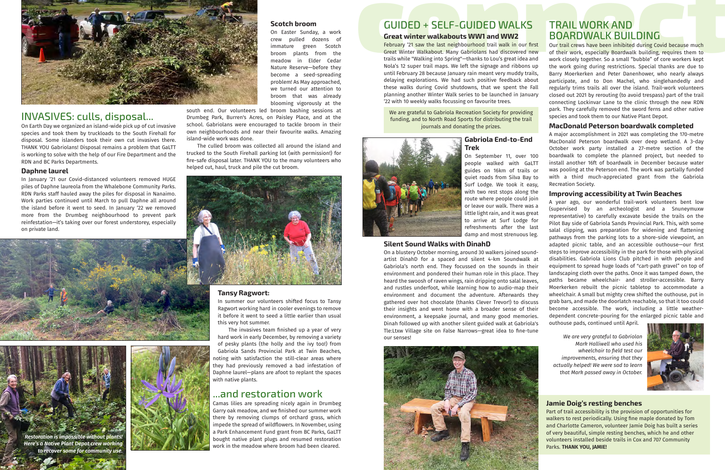On Easter Sunday, a work crew pulled dozens of immature green Scotch broom plants from the meadow in Elder Cedar Nature Reserve—before they become a seed-spreading problem! As May approached, we turned our attention to broom that was already blooming vigorously at the

south end. Our volunteers led broom bashing sessions at Drumbeg Park, Burren's Acres, on Paisley Place, and at the school. Gabriolans were encouraged to tackle broom in their own neighbourhoods and near their favourite walks. Amazing island-wide work was done.

The culled broom was collected all around the island and trucked to the South Firehall parking lot (with permission!) for fire-safe disposal later. THANK YOU to the many volunteers who helped cut, haul, truck and pile the cut broom.



#### **Tansy Ragwort:**

In summer our volunteers shifted focus to Tansy Ragwort working hard in cooler evenings to remove it before it went to seed a little earlier than usual this very hot summer.

The invasives team finished up a year of very hard work in early December, by removing a variety of pesky plants (the holly and the ivy too!) from Gabriola Sands Provincial Park at Twin Beaches, noting with satisfaction the still-clear areas where they had previously removed a bad infestation of Daphne laurel—plans are afoot to replant the spaces with native plants.

### ...and restoration work

Camas lilies are spreading nicely again in Drumbeg Garry oak meadow, and we finished our summer work there by removing clumps of orchard grass, which impede the spread of wildflowers. In November, using a Park Enhancement Fund grant from BC Parks, GaLTT bought native plant plugs and resumed restoration work in the meadow where broom had been cleared.

**continuos**<br>
On Easter Sunday, a work<br>
crew pulled dozens of<br> **contage of the contage of the connect connect and the contage of the privaty of the last neighbourhood trail wind www.<br>
February 21 saw the last neighbourhood** Our trail crews have been inhibited during Covid because much of their work, especially Boardwalk building, requires them to work closely together. So a small "bubble" of core workers kept the work going during restrictions. Special thanks are due to Barry Moerkerken and Peter Danenhower, who nearly always participate, and to Don Machel, who singlehandedly and regularly trims trails all over the island. Trail-work volunteers closed out 2021 by rerouting (to avoid trespass) part of the trail connecting Lockinvar Lane to the clinic through the new RDN park. They carefully removed the sword ferns and other native species and took them to our Native Plant Depot.



### INVASIVES: culls, disposal...

On Earth Day we organized an island-wide pick up of cut invasive species and took them by truckloads to the South Firehall for disposal. Some islanders took their own cut invasives there. THANK YOU Gabriolans! Disposal remains a problem that GaLTT is working to solve with the help of our Fire Department and the RDN and BC Parks Departments.

#### **Daphne laurel**

In January '21 our Covid-distanced volunteers removed HUGE piles of Daphne laureola from the Whalebone Community Parks. RDN Parks staff hauled away the piles for disposal in Nanaimo. Work parties continued until March to pull Daphne all around the island before it went to seed. In January '22 we removed more from the Drumbeg neighbourhood to prevent park reinfestation—it's taking over our forest understorey, especially on private land.



### TRAIL WORK AND BOARDWALK BUILDING

#### **MacDonald Peterson boardwalk completed**

A major accomplishment in 2021 was completing the 170-metre MacDonald Peterson boardwalk over deep wetland. A 3-day October work party installed a 27-metre section of the boardwalk to complete the planned project, but needed to install another 16ft of boardwalk in December because water was pooling at the Peterson end. The work was partially funded with a third much-appreciated grant from the Gabriola Recreation Society.

#### **Improving accessibility at Twin Beaches**

A year ago, our wonderful trail-work volunteers bent low (supervised by an archeologist and a Snuneymuxw representative) to carefully excavate beside the trails on the Pilot Bay side of Gabriola Sands Provincial Park. This, with some salal clipping, was preparation for widening and flattening pathways from the parking lots to a shore-side viewpoint, an adapted picnic table, and an accessible outhouse—our first steps to improve accessibility in the park for those with physical disabilities. Gabriola Lions Club pitched in with people and equipment to spread huge loads of "cart-path gravel" on top of landscaping cloth over the paths. Once it was tamped down, the paths became wheelchair- and stroller-accessible. Barry Moerkerken rebuilt the picnic tabletop to accommodate a wheelchair. A small but mighty crew shifted the outhouse, put in grab bars, and made the doorlatch reachable, so that it too could become accessible. The work, including a little weatherdependent concrete-pouring for the enlarged picnic table and outhouse pads, continued until April.

#### **Jamie Doig's resting benches**

Part of trail accessibility is the provision of opportunities for walkers to rest periodically. Using fine maple donated by Tom and Charlotte Cameron, volunteer Jamie Doig has built a series of very beautiful, simple resting benches, which he and other volunteers installed beside trails in Cox and 707 Community Parks. **THANK YOU, JAMIE!**



*We are very grateful to Gabriolan Mark Halliwell who used his wheelchair to field test our improvements, ensuring that they actually helped! We were sad to learn that Mark passed away in October.*



## GUIDED + SELF-GUIDED WALKS

#### **Great winter walkabouts WW1 and WW2**

February '21 saw the last neighbourhood trail walk in our first Great Winter Walkabout. Many Gabriolans had discovered new trails while "Walking into Spring"—thanks to Lou's great idea and Nola's 12 super trail maps. We left the signage and ribbons up until February 28 because January rain meant very muddy trails, delaying explorations. We had such positive feedback about these walks during Covid shutdowns, that we spent the Fall planning another Winter Walk series to be launched in January '22 with 10 weekly walks focussing on favourite trees.

We are grateful to Gabriola Recreation Society for providing funding, and to North Road Sports for distributing the trail journals and donating the prizes.

### **Gabriola End-to-End Trek**

On September 11, over 100 people walked with GaLTT guides on 16km of trails or quiet roads from Silva Bay to Surf Lodge. We took it easy, with two rest stops along the route where people could join or leave our walk. There was a little light rain, and it was great to arrive at Surf Lodge for refreshments after the last damp and most strenuous leg.

#### **Silent Sound Walks with DinahD**

On a blustery October morning, around 30 walkers joined soundartist DinahD for a spaced and silent 4-km Soundwalk at Gabriola's north end. They focussed on the sounds in their environment and pondered their human role in this place. They heard the swoosh of raven wings, rain dripping onto salal leaves, and rustles underfoot, while learning how to audio-map their environment and document the adventure. Afterwards they gathered over hot chocolate (thanks Clever Trevor!) to discuss their insights and went home with a broader sense of their environment, a keepsake journal, and many good memories. Dinah followed up with another silent guided walk at Gabriola's Tle:Ltxw Village site on False Narrows—great idea to fine-tune our senses!





*to recover some for community use.*